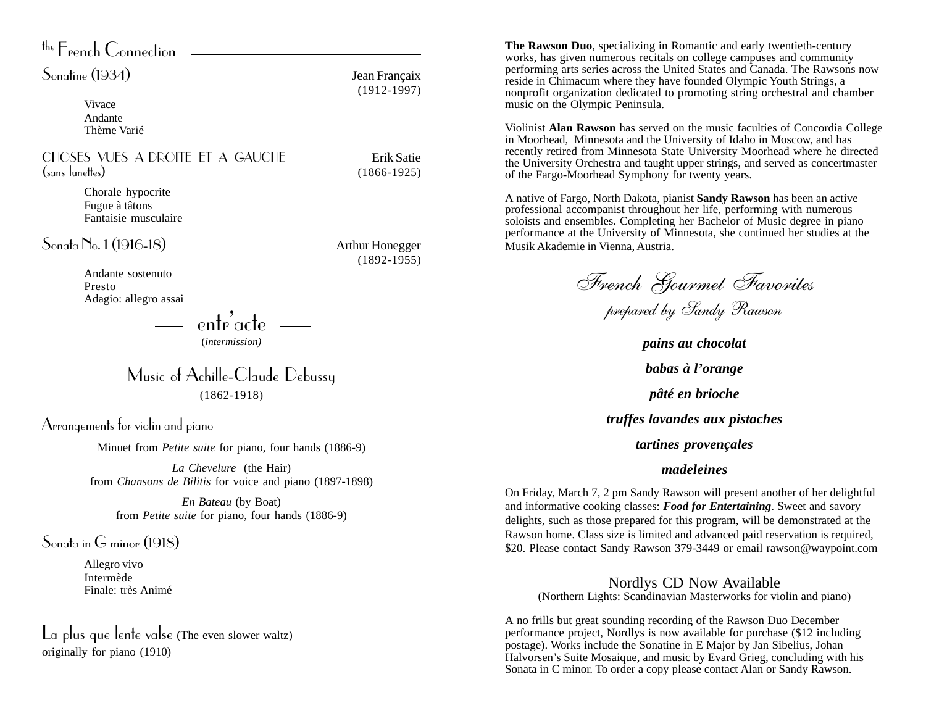| the French Connection                                                               |                                  |
|-------------------------------------------------------------------------------------|----------------------------------|
| Sonatine (1934)                                                                     | Jean Françaix<br>$(1912 - 1997)$ |
| Vivace<br>Andante<br>Thème Varié                                                    |                                  |
| CHOSES VUES A DROITE ET A GAUCHE<br>(sans lunettes)                                 | Erik Satie<br>$(1866 - 1925)$    |
| Chorale hypocrite<br>Fugue à tâtons<br>Fantaisie musculaire                         |                                  |
| Sonata No. 1 (1916-18)                                                              | <b>Arthur Honegger</b>           |
| Andante sostenuto<br>Presto<br>Adagio: allegro assai                                | $(1892 - 1955)$                  |
| entr <sup>'</sup> acte<br>( <i>intermission</i> )                                   |                                  |
| Music of Achille-Claude Debussy<br>$(1862 - 1918)$                                  |                                  |
| Arrangements for violin and piano                                                   |                                  |
| Minuet from <i>Petite suite</i> for piano, four hands (1886-9)                      |                                  |
| La Chevelure (the Hair)<br>from Chansons de Bilitis for voice and piano (1897-1898) |                                  |

*En Bateau* (by Boat) from *Petite suite* for piano, four hands (1886-9)

Sonata in G minor (1918)

Allegro vivo Intermède Finale: très Animé

La plus que lente valse (The even slower waltz) originally for piano (1910)

**The Rawson Duo**, specializing in Romantic and early twentieth-century works, has given numerous recitals on college campuses and community performing arts series across the United States and Canada. The Rawsons now reside in Chimacum where they have founded Olympic Youth Strings, a nonprofit organization dedicated to promoting string orchestral and chamber music on the Olympic Peninsula.

Violinist **Alan Rawson** has served on the music faculties of Concordia College in Moorhead, Minnesota and the University of Idaho in Moscow, and has recently retired from Minnesota State University Moorhead where he directed the University Orchestra and taught upper strings, and served as concertmaster of the Fargo-Moorhead Symphony for twenty years.

A native of Fargo, North Dakota, pianist **Sandy Rawson** has been an active professional accompanist throughout her life, performing with numerous soloists and ensembles. Completing her Bachelor of Music degree in piano performance at the University of Minnesota, she continued her studies at the Musik Akademie in Vienna, Austria.

French Gourmet Favorites

prepared by Sandy Rawson

*pains au chocolat babas à l'orange pâté en brioche truffes lavandes aux pistaches tartines provençales*

## *madeleines*

On Friday, March 7, 2 pm Sandy Rawson will present another of her delightful and informative cooking classes: *Food for Entertaining*. Sweet and savory delights, such as those prepared for this program, will be demonstrated at the Rawson home. Class size is limited and advanced paid reservation is required, \$20. Please contact Sandy Rawson 379-3449 or email rawson@waypoint.com

Nordlys CD Now Available (Northern Lights: Scandinavian Masterworks for violin and piano)

A no frills but great sounding recording of the Rawson Duo December performance project, Nordlys is now available for purchase (\$12 including postage). Works include the Sonatine in E Major by Jan Sibelius, Johan Halvorsen's Suite Mosaique, and music by Evard Grieg, concluding with his Sonata in C minor. To order a copy please contact Alan or Sandy Rawson.